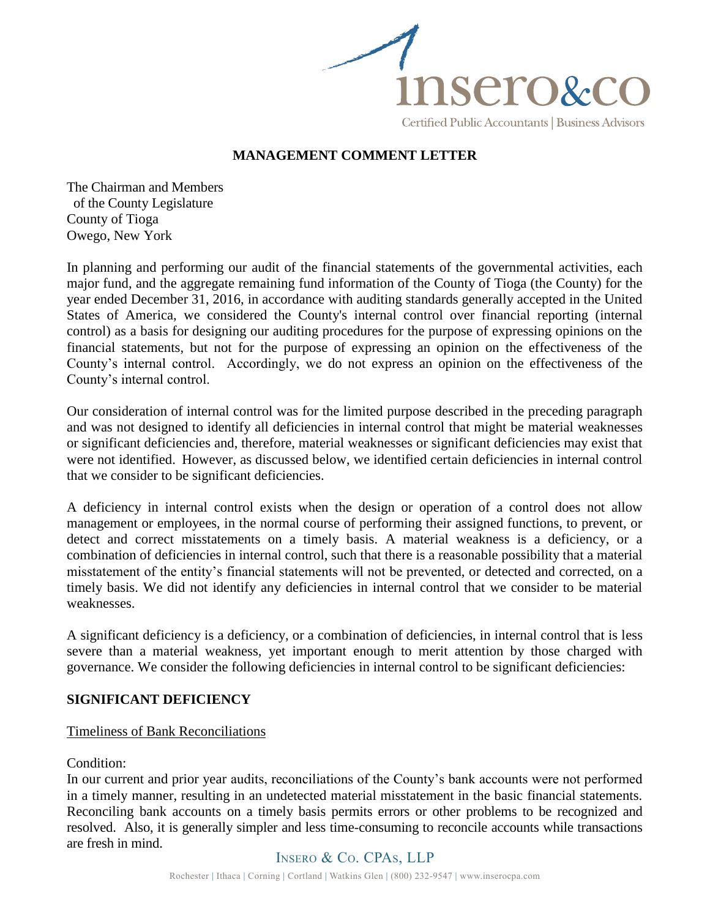

# **MANAGEMENT COMMENT LETTER**

The Chairman and Members of the County Legislature County of Tioga Owego, New York

In planning and performing our audit of the financial statements of the governmental activities, each major fund, and the aggregate remaining fund information of the County of Tioga (the County) for the year ended December 31, 2016, in accordance with auditing standards generally accepted in the United States of America, we considered the County's internal control over financial reporting (internal control) as a basis for designing our auditing procedures for the purpose of expressing opinions on the financial statements, but not for the purpose of expressing an opinion on the effectiveness of the County's internal control. Accordingly, we do not express an opinion on the effectiveness of the County's internal control.

Our consideration of internal control was for the limited purpose described in the preceding paragraph and was not designed to identify all deficiencies in internal control that might be material weaknesses or significant deficiencies and, therefore, material weaknesses or significant deficiencies may exist that were not identified. However, as discussed below, we identified certain deficiencies in internal control that we consider to be significant deficiencies.

A deficiency in internal control exists when the design or operation of a control does not allow management or employees, in the normal course of performing their assigned functions, to prevent, or detect and correct misstatements on a timely basis. A material weakness is a deficiency, or a combination of deficiencies in internal control, such that there is a reasonable possibility that a material misstatement of the entity's financial statements will not be prevented, or detected and corrected, on a timely basis. We did not identify any deficiencies in internal control that we consider to be material weaknesses.

A significant deficiency is a deficiency, or a combination of deficiencies, in internal control that is less severe than a material weakness, yet important enough to merit attention by those charged with governance. We consider the following deficiencies in internal control to be significant deficiencies:

# **SIGNIFICANT DEFICIENCY**

# Timeliness of Bank Reconciliations

# Condition:

In our current and prior year audits, reconciliations of the County's bank accounts were not performed in a timely manner, resulting in an undetected material misstatement in the basic financial statements. Reconciling bank accounts on a timely basis permits errors or other problems to be recognized and resolved. Also, it is generally simpler and less time-consuming to reconcile accounts while transactions are fresh in mind.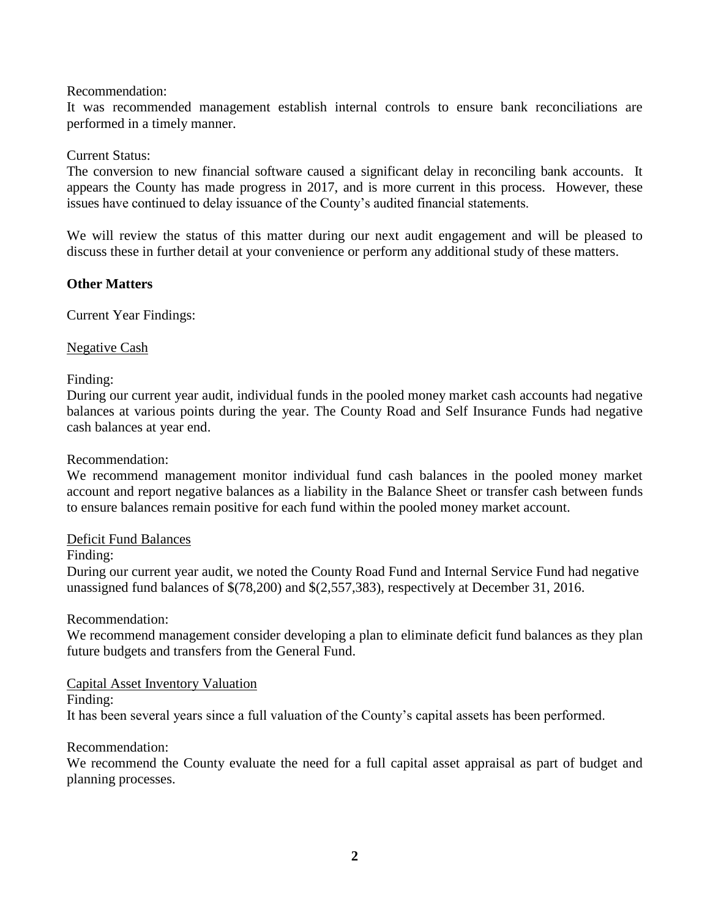### Recommendation:

It was recommended management establish internal controls to ensure bank reconciliations are performed in a timely manner.

# Current Status:

The conversion to new financial software caused a significant delay in reconciling bank accounts. It appears the County has made progress in 2017, and is more current in this process. However, these issues have continued to delay issuance of the County's audited financial statements.

We will review the status of this matter during our next audit engagement and will be pleased to discuss these in further detail at your convenience or perform any additional study of these matters.

# **Other Matters**

Current Year Findings:

# Negative Cash

# Finding:

During our current year audit, individual funds in the pooled money market cash accounts had negative balances at various points during the year. The County Road and Self Insurance Funds had negative cash balances at year end.

### Recommendation:

We recommend management monitor individual fund cash balances in the pooled money market account and report negative balances as a liability in the Balance Sheet or transfer cash between funds to ensure balances remain positive for each fund within the pooled money market account.

### Deficit Fund Balances

### Finding:

During our current year audit, we noted the County Road Fund and Internal Service Fund had negative unassigned fund balances of \$(78,200) and \$(2,557,383), respectively at December 31, 2016.

# Recommendation:

We recommend management consider developing a plan to eliminate deficit fund balances as they plan future budgets and transfers from the General Fund.

### Capital Asset Inventory Valuation

Finding:

It has been several years since a full valuation of the County's capital assets has been performed.

# Recommendation:

We recommend the County evaluate the need for a full capital asset appraisal as part of budget and planning processes.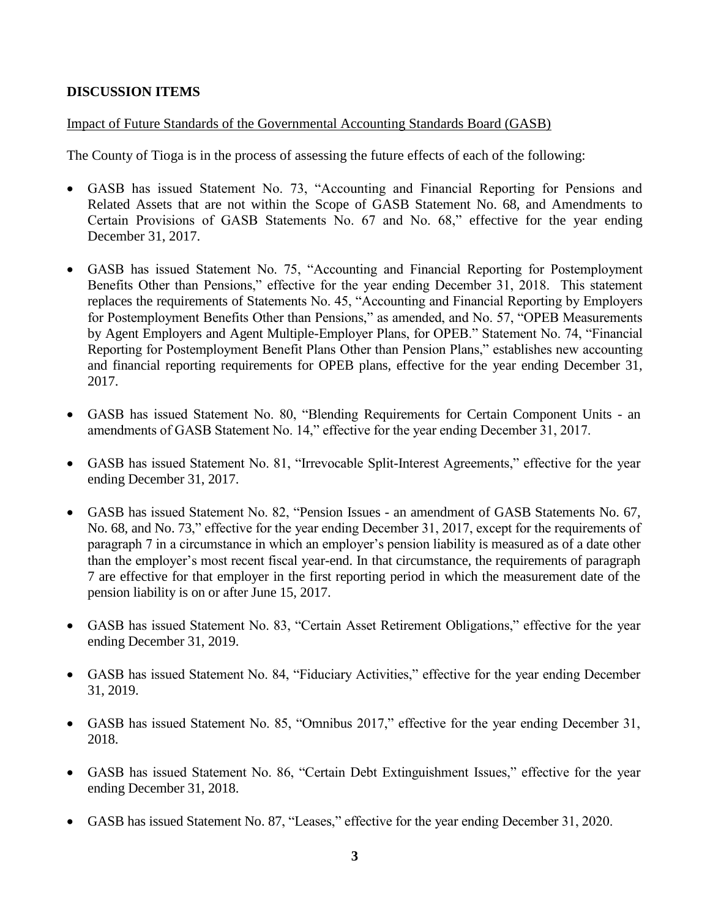# **DISCUSSION ITEMS**

# Impact of Future Standards of the Governmental Accounting Standards Board (GASB)

The County of Tioga is in the process of assessing the future effects of each of the following:

- GASB has issued Statement No. 73, "Accounting and Financial Reporting for Pensions and Related Assets that are not within the Scope of GASB Statement No. 68, and Amendments to Certain Provisions of GASB Statements No. 67 and No. 68," effective for the year ending December 31, 2017.
- GASB has issued Statement No. 75, "Accounting and Financial Reporting for Postemployment Benefits Other than Pensions," effective for the year ending December 31, 2018. This statement replaces the requirements of Statements No. 45, "Accounting and Financial Reporting by Employers for Postemployment Benefits Other than Pensions," as amended, and No. 57, "OPEB Measurements by Agent Employers and Agent Multiple-Employer Plans, for OPEB." Statement No. 74, "Financial Reporting for Postemployment Benefit Plans Other than Pension Plans," establishes new accounting and financial reporting requirements for OPEB plans, effective for the year ending December 31, 2017.
- GASB has issued Statement No. 80, "Blending Requirements for Certain Component Units an amendments of GASB Statement No. 14," effective for the year ending December 31, 2017.
- GASB has issued Statement No. 81, "Irrevocable Split-Interest Agreements," effective for the year ending December 31, 2017.
- GASB has issued Statement No. 82, "Pension Issues an amendment of GASB Statements No. 67, No. 68, and No. 73," effective for the year ending December 31, 2017, except for the requirements of paragraph 7 in a circumstance in which an employer's pension liability is measured as of a date other than the employer's most recent fiscal year-end. In that circumstance, the requirements of paragraph 7 are effective for that employer in the first reporting period in which the measurement date of the pension liability is on or after June 15, 2017.
- GASB has issued Statement No. 83, "Certain Asset Retirement Obligations," effective for the year ending December 31, 2019.
- GASB has issued Statement No. 84, "Fiduciary Activities," effective for the year ending December 31, 2019.
- GASB has issued Statement No. 85, "Omnibus 2017," effective for the year ending December 31, 2018.
- GASB has issued Statement No. 86, "Certain Debt Extinguishment Issues," effective for the year ending December 31, 2018.
- GASB has issued Statement No. 87, "Leases," effective for the year ending December 31, 2020.